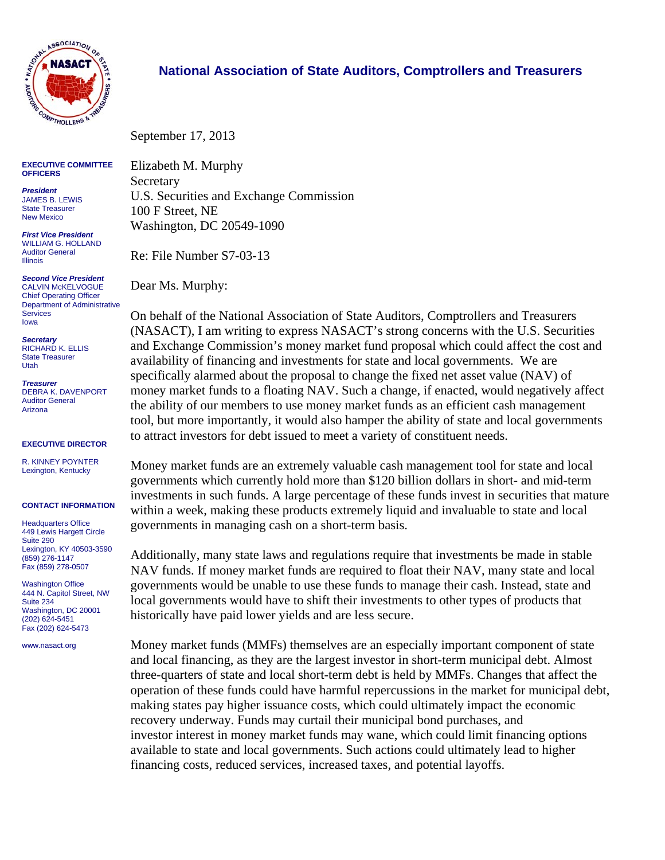

## **National Association of State Auditors, Comptrollers and Treasurers**

September 17, 2013

**EXECUTIVE COMMITTEE OFFICERS** 

*President*  JAMES B. LEWIS State Treasurer New Mexico

*First Vice President*  WILLIAM G. HOLLAND Auditor General Illinois

*Second Vice President*  CALVIN McKELVOGUE Chief Operating Officer Department of Administrative **Services** Iowa

*Secretary*  RICHARD K. ELLIS State Treasurer Utah

*Treasurer*  DEBRA K. DAVENPORT Auditor General Arizona

## **EXECUTIVE DIRECTOR**

R. KINNEY POYNTER Lexington, Kentucky

## **CONTACT INFORMATION**

Headquarters Office 449 Lewis Hargett Circle Suite 290 Lexington, KY 40503-3590 (859) 276-1147 Fax (859) 278-0507

Washington Office 444 N. Capitol Street, NW Suite 234 Washington, DC 20001 (202) 624-5451 Fax (202) 624-5473

www.nasact.org

Elizabeth M. Murphy **Secretary** U.S. Securities and Exchange Commission 100 F Street, NE Washington, DC 20549-1090

Re: File Number S7-03-13

Dear Ms. Murphy:

On behalf of the National Association of State Auditors, Comptrollers and Treasurers (NASACT), I am writing to express NASACT's strong concerns with the U.S. Securities and Exchange Commission's money market fund proposal which could affect the cost and availability of financing and investments for state and local governments. We are specifically alarmed about the proposal to change the fixed net asset value (NAV) of money market funds to a floating NAV. Such a change, if enacted, would negatively affect the ability of our members to use money market funds as an efficient cash management tool, but more importantly, it would also hamper the ability of state and local governments to attract investors for debt issued to meet a variety of constituent needs.

Money market funds are an extremely valuable cash management tool for state and local governments which currently hold more than \$120 billion dollars in short- and mid-term investments in such funds. A large percentage of these funds invest in securities that mature within a week, making these products extremely liquid and invaluable to state and local governments in managing cash on a short-term basis.

Additionally, many state laws and regulations require that investments be made in stable NAV funds. If money market funds are required to float their NAV, many state and local governments would be unable to use these funds to manage their cash. Instead, state and local governments would have to shift their investments to other types of products that historically have paid lower yields and are less secure.

Money market funds (MMFs) themselves are an especially important component of state and local financing, as they are the largest investor in short-term municipal debt. Almost three-quarters of state and local short-term debt is held by MMFs. Changes that affect the operation of these funds could have harmful repercussions in the market for municipal debt, making states pay higher issuance costs, which could ultimately impact the economic recovery underway. Funds may curtail their municipal bond purchases, and investor interest in money market funds may wane, which could limit financing options available to state and local governments. Such actions could ultimately lead to higher financing costs, reduced services, increased taxes, and potential layoffs.